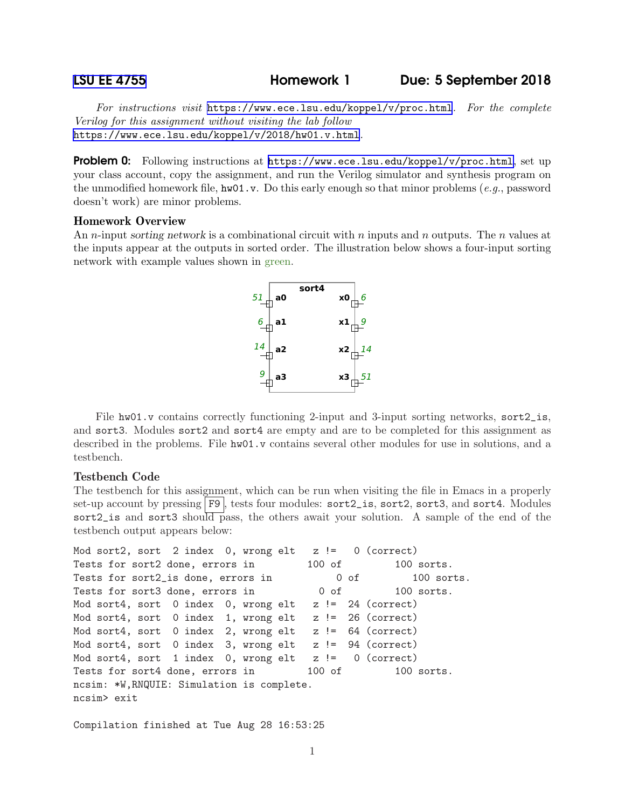[LSU EE 4755](https://www.ece.lsu.edu/koppel/v/) Homework 1 Due: 5 September 2018

For instructions visit <https://www.ece.lsu.edu/koppel/v/proc.html>. For the complete Verilog for this assignment without visiting the lab follow <https://www.ece.lsu.edu/koppel/v/2018/hw01.v.html>.

**Problem 0:** Following instructions at <https://www.ece.lsu.edu/koppel/v/proc.html>, set up your class account, copy the assignment, and run the Verilog simulator and synthesis program on the unmodified homework file,  $hwd1.v$ . Do this early enough so that minor problems (e.g., password doesn't work) are minor problems.

## Homework Overview

An n-input sorting network is a combinational circuit with n inputs and n outputs. The n values at the inputs appear at the outputs in sorted order. The illustration below shows a four-input sorting network with example values shown in green.



File hw01.v contains correctly functioning 2-input and 3-input sorting networks, sort2\_is, and sort3. Modules sort2 and sort4 are empty and are to be completed for this assignment as described in the problems. File hw01.v contains several other modules for use in solutions, and a testbench.

## Testbench Code

The testbench for this assignment, which can be run when visiting the file in Emacs in a properly set-up account by pressing F9, tests four modules: sort2\_is, sort2, sort3, and sort4. Modules sort2\_is and sort3 should pass, the others await your solution. A sample of the end of the testbench output appears below:

```
Mod sort2, sort 2 index 0, wrong elt z != 0 (correct)
Tests for sort2 done, errors in 100 of 100 sorts.
Tests for sort2_is done, errors in 0 of 100 sorts.
Tests for sort3 done, errors in 0 of 100 sorts.
Mod sort4, sort 0 index 0, wrong elt z != 24 (correct)
Mod sort4, sort 0 index 1, wrong elt z != 26 (correct)
Mod sort4, sort 0 index 2, wrong elt z != 64 (correct)
Mod sort4, sort 0 index 3, wrong elt z != 94 (correct)
Mod sort4, sort 1 index 0, wrong elt z != 0 (correct)
Tests for sort4 done, errors in 100 of 100 sorts.
ncsim: *W,RNQUIE: Simulation is complete.
ncsim> exit
```
Compilation finished at Tue Aug 28 16:53:25